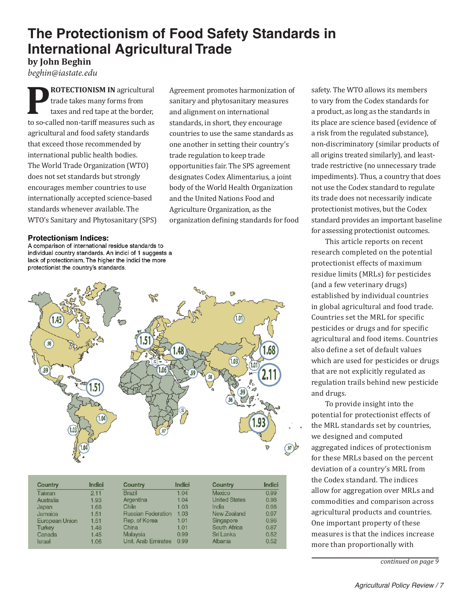## **The Protectionism of Food Safety Standards in International Agricultural Trade**

Agreement promotes harmonization of sanitary and phytosanitary measures and alignment on international standards, in short, they encourage countries to use the same standards as one another in setting their country's

trade regulation to keep trade

opportunities fair. The SPS agreement designates Codex Alimentarius, a joint body of the World Health Organization and the United Nations Food and Agriculture Organization, as the

organization defining standards for food

**by John Beghin**

*beghin@iastate.edu* **PROTECTIONISM IN** agricultural<br>
trade takes many forms from<br>
taxes and red tape at the border, trade takes many forms from to so-called non-tariff measures such as agricultural and food safety standards that exceed those recommended by international public health bodies. The World Trade Organization (WTO) does not set standards but strongly encourages member countries to use

internationally accepted science-based standards whenever available. The WTO's Sanitary and Phytosanitary (SPS)

## **Protectionism Indices:**

A comparison of international residue standards to individual country standards. An indici of 1 suggests a lack of protectionism. The higher the indici the more protectionist the country's standards.



| Country               | <b>Indici</b> | Country                   | Indici | Country              | <b>Indici</b> |
|-----------------------|---------------|---------------------------|--------|----------------------|---------------|
| Taiwan                | 2.11          | <b>Brazil</b>             | 1.04   | <b>Mexico</b>        | 0.99          |
| Australia             | 1.93          | Argentina                 | 1.04   | <b>United States</b> | 0.98          |
| Japan                 | 1.68          | Chile                     | 1.03   | India                | 0.98          |
| Jamaica               | 1.51          | <b>Russian Federation</b> | 1.03   | New Zealand          | 0.97          |
| <b>European Union</b> | 1.51          | Rep. of Korea             | 1.01   | Singapore            | 0.96          |
| <b>Turkey</b>         | 1.48          | China                     | 1.01   | South Africa         | 0.87          |
| Canada                | 1.45          | <b>Malaysia</b>           | 0.99   | Sri Lanka            | 0.52          |
| <b>Israel</b>         | 1.06          | Unit. Arab Emirates       | 0.99   | Albania              | 0.52          |

safety. The WTO allows its members to vary from the Codex standards for a product, as long as the standards in its place are science based (evidence of a risk from the regulated substance), non-discriminatory (similar products of all origins treated similarly), and leasttrade restrictive (no unnecessary trade impediments). Thus, a country that does not use the Codex standard to regulate its trade does not necessarily indicate protectionist motives, but the Codex standard provides an important baseline for assessing protectionist outcomes.

This article reports on recent research completed on the potential protectionist effects of maximum residue limits (MRLs) for pesticides (and a few veterinary drugs) established by individual countries in global agricultural and food trade. Countries set the MRL for specific pesticides or drugs and for specific agricultural and food items. Countries also define a set of default values which are used for pesticides or drugs that are not explicitly regulated as regulation trails behind new pesticide and drugs.

To provide insight into the potential for protectionist effects of the MRL standards set by countries, we designed and computed aggregated indices of protectionism for these MRLs based on the percent deviation of a country's MRL from the Codex standard. The indices allow for aggregation over MRLs and commodities and comparison across agricultural products and countries. One important property of these measures is that the indices increase more than proportionally with

*continued on page 9*